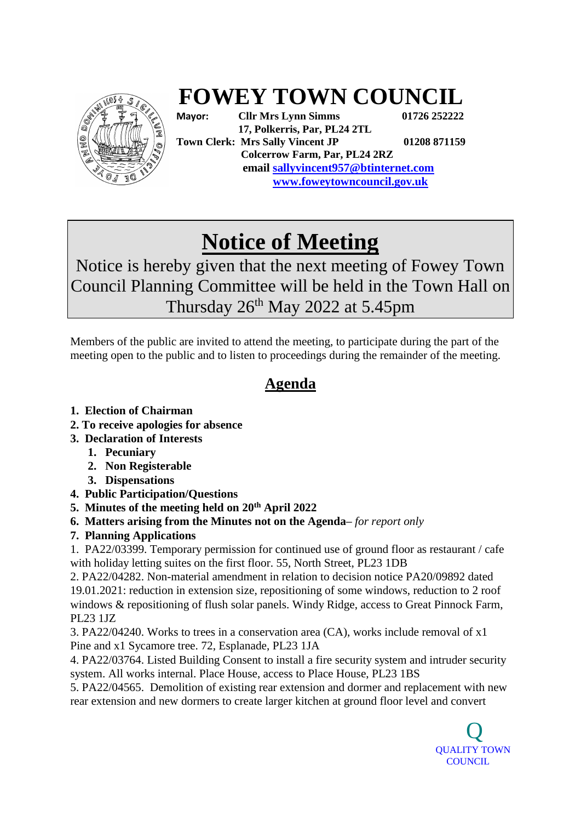

## **FOWEY TOWN COUNCIL**

**Mayor: Cllr Mrs Lynn Simms 01726 252222 17, Polkerris, Par, PL24 2TL Town Clerk: Mrs Sally Vincent JP 01208 871159 Colcerrow Farm, Par, PL24 2RZ email sallyvincent957@btinternet.com www.foweytowncouncil.gov.uk**

## **Notice of Meeting**

Notice is hereby given that the next meeting of Fowey Town Council Planning Committee will be held in the Town Hall on Thursday  $26<sup>th</sup>$  May 2022 at 5.45pm

Members of the public are invited to attend the meeting, to participate during the part of the meeting open to the public and to listen to proceedings during the remainder of the meeting.

## **Agenda**

- **1. Election of Chairman**
- **2. To receive apologies for absence**
- **3. Declaration of Interests**
	- **1. Pecuniary**
	- **2. Non Registerable**
	- **3. Dispensations**
- **4. Public Participation/Questions**
- **5. Minutes of the meeting held on 20th April 2022**
- **6. Matters arising from the Minutes not on the Agenda–** *for report only*
- **7. Planning Applications**

1. PA22/03399. [Temporary permission for continued use of ground floor as restaurant / cafe](https://planning.cornwall.gov.uk/online-applications/applicationDetails.do?activeTab=summary&keyVal=R9X1ESFGMNR00&prevPage=inTray)  [with holiday letting suites on the first floor.](https://planning.cornwall.gov.uk/online-applications/applicationDetails.do?activeTab=summary&keyVal=R9X1ESFGMNR00&prevPage=inTray) 55, North Street, PL23 1DB

2. PA22/04282. [Non-material amendment in relation to decision notice PA20/09892 dated](https://planning.cornwall.gov.uk/online-applications/applicationDetails.do?activeTab=summary&keyVal=RBEWCBFGHSE00&prevPage=inTray)  [19.01.2021: reduction in extension size, repositioning of some windows, reduction to 2 roof](https://planning.cornwall.gov.uk/online-applications/applicationDetails.do?activeTab=summary&keyVal=RBEWCBFGHSE00&prevPage=inTray)  [windows & repositioning of flush solar panels.](https://planning.cornwall.gov.uk/online-applications/applicationDetails.do?activeTab=summary&keyVal=RBEWCBFGHSE00&prevPage=inTray) Windy Ridge, access to Great Pinnock Farm, PL23 1JZ

3. PA22/04240. [Works to trees in a conservation area \(CA\), works include removal of x1](https://planning.cornwall.gov.uk/online-applications/applicationDetails.do?activeTab=summary&keyVal=RBCZ78FG1W400&prevPage=inTray)  [Pine and x1 Sycamore tree.](https://planning.cornwall.gov.uk/online-applications/applicationDetails.do?activeTab=summary&keyVal=RBCZ78FG1W400&prevPage=inTray) 72, Esplanade, PL23 1JA

4. PA22/03764. [Listed Building Consent to install a fire security system and intruder security](https://planning.cornwall.gov.uk/online-applications/applicationDetails.do?activeTab=summary&keyVal=RAL1AAFGLWW00&prevPage=inTray)  [system. All works internal.](https://planning.cornwall.gov.uk/online-applications/applicationDetails.do?activeTab=summary&keyVal=RAL1AAFGLWW00&prevPage=inTray) Place House, access to Place House, PL23 1BS

5. PA22/04565. [Demolition of existing rear extension and dormer and replacement with new](https://planning.cornwall.gov.uk/online-applications/applicationDetails.do?activeTab=summary&keyVal=RBV6C4FGIFS00&prevPage=inTray)  [rear extension and new dormers to create larger kitchen at ground floor level and convert](https://planning.cornwall.gov.uk/online-applications/applicationDetails.do?activeTab=summary&keyVal=RBV6C4FGIFS00&prevPage=inTray)